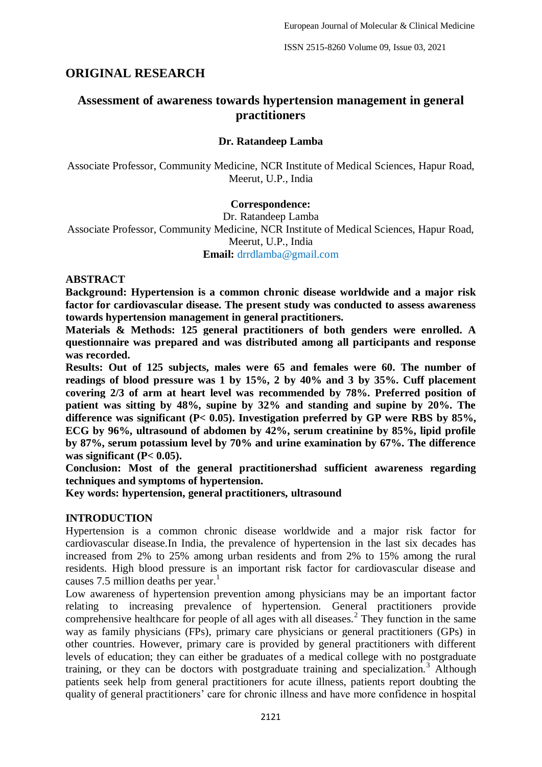# **ORIGINAL RESEARCH**

# **Assessment of awareness towards hypertension management in general practitioners**

## **Dr. Ratandeep Lamba**

Associate Professor, Community Medicine, NCR Institute of Medical Sciences, Hapur Road, Meerut, U.P., India

#### **Correspondence:**

Dr. Ratandeep Lamba

Associate Professor, Community Medicine, NCR Institute of Medical Sciences, Hapur Road, Meerut, U.P., India

**Email:** drrdlamba@gmail.com

#### **ABSTRACT**

**Background: Hypertension is a common chronic disease worldwide and a major risk factor for cardiovascular disease. The present study was conducted to assess awareness towards hypertension management in general practitioners.**

**Materials & Methods: 125 general practitioners of both genders were enrolled. A questionnaire was prepared and was distributed among all participants and response was recorded.**

**Results: Out of 125 subjects, males were 65 and females were 60. The number of readings of blood pressure was 1 by 15%, 2 by 40% and 3 by 35%. Cuff placement covering 2/3 of arm at heart level was recommended by 78%. Preferred position of patient was sitting by 48%, supine by 32% and standing and supine by 20%. The difference was significant (P< 0.05). Investigation preferred by GP were RBS by 85%, ECG by 96%, ultrasound of abdomen by 42%, serum creatinine by 85%, lipid profile by 87%, serum potassium level by 70% and urine examination by 67%. The difference was significant (P< 0.05).**

**Conclusion: Most of the general practitionershad sufficient awareness regarding techniques and symptoms of hypertension.**

**Key words: hypertension, general practitioners, ultrasound**

### **INTRODUCTION**

Hypertension is a common chronic disease worldwide and a major risk factor for cardiovascular disease.In India, the prevalence of hypertension in the last six decades has increased from 2% to 25% among urban residents and from 2% to 15% among the rural residents. High blood pressure is an important risk factor for cardiovascular disease and causes 7.5 million deaths per year.<sup>1</sup>

Low awareness of hypertension prevention among physicians may be an important factor relating to increasing prevalence of hypertension. General practitioners provide comprehensive healthcare for people of all ages with all diseases.<sup>2</sup> They function in the same way as family physicians (FPs), primary care physicians or general practitioners (GPs) in other countries. However, primary care is provided by general practitioners with different levels of education; they can either be graduates of a medical college with no postgraduate training, or they can be doctors with postgraduate training and specialization.<sup>3</sup> Although patients seek help from general practitioners for acute illness, patients report doubting the quality of general practitioners' care for chronic illness and have more confidence in hospital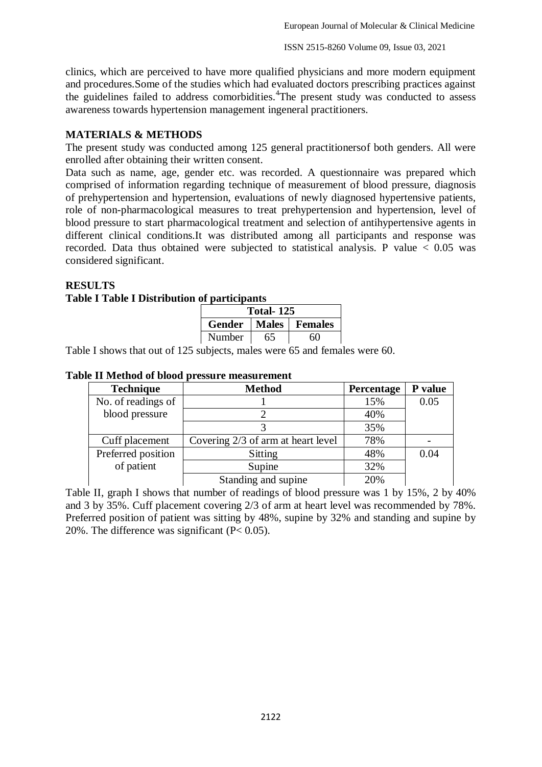clinics, which are perceived to have more qualified physicians and more modern equipment and procedures.Some of the studies which had evaluated doctors prescribing practices against the guidelines failed to address comorbidities.<sup>4</sup>The present study was conducted to assess awareness towards hypertension management ingeneral practitioners.

## **MATERIALS & METHODS**

The present study was conducted among 125 general practitionersof both genders. All were enrolled after obtaining their written consent.

Data such as name, age, gender etc. was recorded. A questionnaire was prepared which comprised of information regarding technique of measurement of blood pressure, diagnosis of prehypertension and hypertension, evaluations of newly diagnosed hypertensive patients, role of non-pharmacological measures to treat prehypertension and hypertension, level of blood pressure to start pharmacological treatment and selection of antihypertensive agents in different clinical conditions.It was distributed among all participants and response was recorded. Data thus obtained were subjected to statistical analysis. P value  $< 0.05$  was considered significant.

#### **RESULTS**

#### **Table I Table I Distribution of participants**

| <b>Total-125</b> |       |                |  |
|------------------|-------|----------------|--|
| Gender           | Males | <b>Females</b> |  |
| Number           | 65    | 60             |  |

Table I shows that out of 125 subjects, males were 65 and females were 60.

| <b>Technique</b>   | <b>Method</b>                      | <b>Percentage</b> | P value |
|--------------------|------------------------------------|-------------------|---------|
| No. of readings of |                                    | 15%               | 0.05    |
| blood pressure     |                                    | 40%               |         |
|                    |                                    | 35%               |         |
| Cuff placement     | Covering 2/3 of arm at heart level | 78%               |         |
| Preferred position | <b>Sitting</b>                     | 48%               | 0.04    |
| of patient         | Supine                             | 32%               |         |
|                    | Standing and supine                | 20%               |         |

### **Table II Method of blood pressure measurement**

Table II, graph I shows that number of readings of blood pressure was 1 by 15%, 2 by 40% and 3 by 35%. Cuff placement covering 2/3 of arm at heart level was recommended by 78%. Preferred position of patient was sitting by 48%, supine by 32% and standing and supine by 20%. The difference was significant (P< 0.05).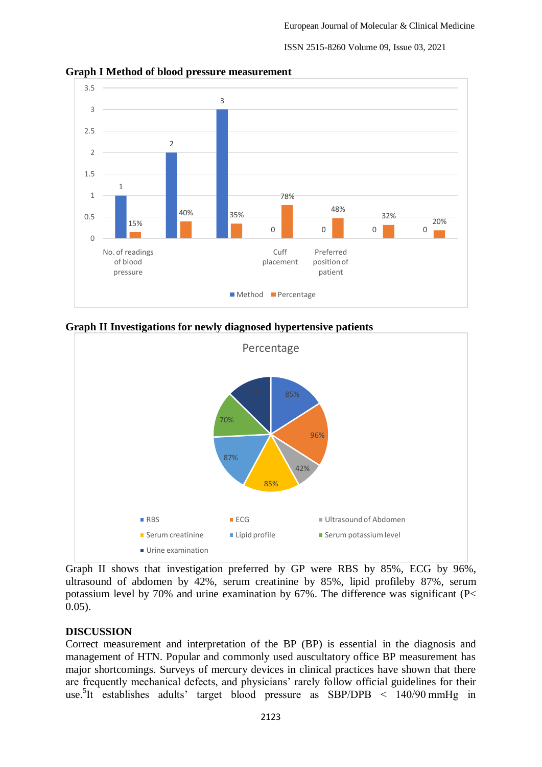ISSN 2515-8260 Volume 09, Issue 03, 2021



**Graph I Method of blood pressure measurement**

**Graph II Investigations for newly diagnosed hypertensive patients**



Graph II shows that investigation preferred by GP were RBS by 85%, ECG by 96%, ultrasound of abdomen by 42%, serum creatinine by 85%, lipid profileby 87%, serum potassium level by 70% and urine examination by 67%. The difference was significant (P< 0.05).

# **DISCUSSION**

Correct measurement and interpretation of the BP (BP) is essential in the diagnosis and management of HTN. Popular and commonly used auscultatory office BP measurement has major shortcomings. Surveys of mercury devices in clinical practices have shown that there are frequently mechanical defects, and physicians' rarely follow official guidelines for their use. 5 It establishes adults' target blood pressure as SBP/DPB < 140/90 mmHg in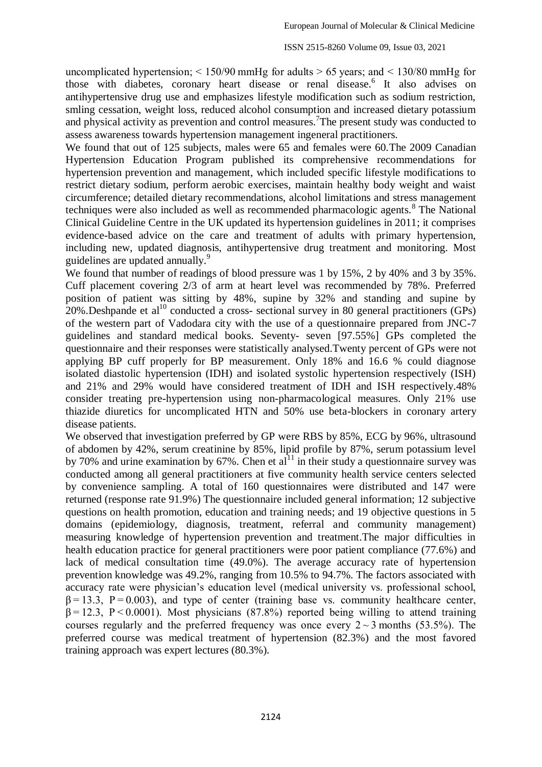uncomplicated hypertension;  $\leq 150/90$  mmHg for adults  $\geq 65$  years; and  $\leq 130/80$  mmHg for those with diabetes, coronary heart disease or renal disease.<sup>6</sup> It also advises on antihypertensive drug use and emphasizes lifestyle modification such as sodium restriction, smling cessation, weight loss, reduced alcohol consumption and increased dietary potassium and physical activity as prevention and control measures.<sup>7</sup>The present study was conducted to assess awareness towards hypertension management ingeneral practitioners.

We found that out of 125 subjects, males were 65 and females were 60. The 2009 Canadian Hypertension Education Program published its comprehensive recommendations for hypertension prevention and management, which included specific lifestyle modifications to restrict dietary sodium, perform aerobic exercises, maintain healthy body weight and waist circumference; detailed dietary recommendations, alcohol limitations and stress management techniques were also included as well as recommended pharmacologic agents.<sup>8</sup> The National Clinical Guideline Centre in the UK updated its hypertension guidelines in 2011; it comprises evidence-based advice on the care and treatment of adults with primary hypertension, including new, updated diagnosis, antihypertensive drug treatment and monitoring. Most guidelines are updated annually.<sup>9</sup>

We found that number of readings of blood pressure was 1 by 15%, 2 by 40% and 3 by 35%. Cuff placement covering 2/3 of arm at heart level was recommended by 78%. Preferred position of patient was sitting by 48%, supine by 32% and standing and supine by  $20\%$ . Deshpande et al<sup>10</sup> conducted a cross- sectional survey in 80 general practitioners (GPs) of the western part of Vadodara city with the use of a questionnaire prepared from JNC-7 guidelines and standard medical books. Seventy- seven [97.55%] GPs completed the questionnaire and their responses were statistically analysed.Twenty percent of GPs were not applying BP cuff properly for BP measurement. Only 18% and 16.6 % could diagnose isolated diastolic hypertension (IDH) and isolated systolic hypertension respectively (ISH) and 21% and 29% would have considered treatment of IDH and ISH respectively.48% consider treating pre-hypertension using non-pharmacological measures. Only 21% use thiazide diuretics for uncomplicated HTN and 50% use beta-blockers in coronary artery disease patients.

We observed that investigation preferred by GP were RBS by 85%, ECG by 96%, ultrasound of abdomen by 42%, serum creatinine by 85%, lipid profile by 87%, serum potassium level by 70% and urine examination by 67%. Chen et  $al<sup>11</sup>$  in their study a questionnaire survey was conducted among all general practitioners at five community health service centers selected by convenience sampling. A total of 160 questionnaires were distributed and 147 were returned (response rate 91.9%) The questionnaire included general information; 12 subjective questions on health promotion, education and training needs; and 19 objective questions in 5 domains (epidemiology, diagnosis, treatment, referral and community management) measuring knowledge of hypertension prevention and treatment.The major difficulties in health education practice for general practitioners were poor patient compliance (77.6%) and lack of medical consultation time (49.0%). The average accuracy rate of hypertension prevention knowledge was 49.2%, ranging from 10.5% to 94.7%. The factors associated with accuracy rate were physician's education level (medical university vs. professional school,  $\beta = 13.3$ ,  $P = 0.003$ ), and type of center (training base vs. community healthcare center,  $\beta$  = 12.3, P < 0.0001). Most physicians (87.8%) reported being willing to attend training courses regularly and the preferred frequency was once every  $2 \sim 3$  months (53.5%). The preferred course was medical treatment of hypertension (82.3%) and the most favored training approach was expert lectures (80.3%).